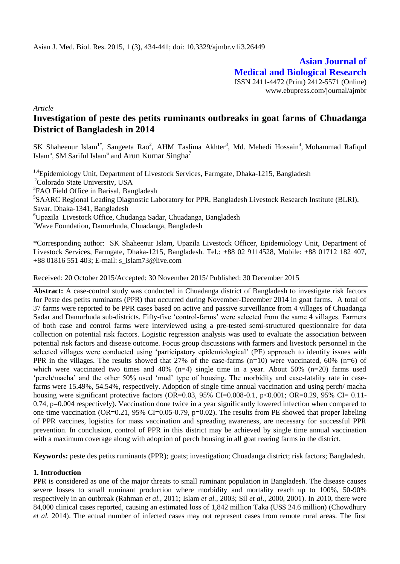**Asian Journal of Medical and Biological Research** ISSN 2411-4472 (Print) 2412-5571 (Online) www.ebupress.com/journal/ajmbr

*Article*

# **Investigation of peste des petits ruminants outbreaks in goat farms of Chuadanga District of Bangladesh in 2014**

SK Shaheenur Islam<sup>1\*</sup>, Sangeeta Rao<sup>2</sup>, AHM Taslima Akhter<sup>3</sup>, Md. Mehedi Hossain<sup>4</sup>, Mohammad Rafiqul Islam<sup>5</sup>, SM Sariful Islam<sup>6</sup> and Arun Kumar Singha<sup>7</sup>

<sup>1,4</sup>Epidemiology Unit, Department of Livestock Services, Farmgate, Dhaka-1215, Bangladesh <sup>2</sup>Colorado State University, USA <sup>3</sup>FAO Field Office in Barisal, Bangladesh <sup>5</sup>SAARC Regional Leading Diagnostic Laboratory for PPR, Bangladesh Livestock Research Institute (BLRI), Savar, Dhaka-1341, Bangladesh <sup>6</sup>Upazila Livestock Office, Chudanga Sadar, Chuadanga, Bangladesh  $7$ Wave Foundation, Damurhuda, Chuadanga, Bangladesh

\*Corresponding author: SK Shaheenur Islam, Upazila Livestock Officer, Epidemiology Unit, Department of Livestock Services, Farmgate, Dhaka-1215, Bangladesh. Tel.: +88 02 9114528, Mobile: +88 01712 182 407, +88 01816 551 403; E-mail: s\_islam73@live.com

Received: 20 October 2015/Accepted: 30 November 2015/ Published: 30 December 2015

**Abstract:** A case-control study was conducted in Chuadanga district of Bangladesh to investigate risk factors for Peste des petits ruminants (PPR) that occurred during November-December 2014 in goat farms. A total of 37 farms were reported to be PPR cases based on active and passive surveillance from 4 villages of Chuadanga Sadar and Damurhuda sub-districts. Fifty-five 'control-farms' were selected from the same 4 villages. Farmers of both case and control farms were interviewed using a pre-tested semi-structured questionnaire for data collection on potential risk factors. Logistic regression analysis was used to evaluate the association between potential risk factors and disease outcome. Focus group discussions with farmers and livestock personnel in the selected villages were conducted using 'participatory epidemiological' (PE) approach to identify issues with PPR in the villages. The results showed that 27% of the case-farms  $(n=10)$  were vaccinated, 60%  $(n=6)$  of which were vaccinated two times and 40%  $(n=4)$  single time in a year. About 50%  $(n=20)$  farms used 'perch/macha' and the other 50% used 'mud' type of housing. The morbidity and case-fatality rate in casefarms were 15.49%, 54.54%, respectively. Adoption of single time annual vaccination and using perch/ macha housing were significant protective factors (OR=0.03, 95% CI=0.008-0.1, p<0.001; OR=0.29, 95% CI= 0.11-0.74, p=0.004 respectively). Vaccination done twice in a year significantly lowered infection when compared to one time vaccination (OR=0.21, 95% CI=0.05-0.79, p=0.02). The results from PE showed that proper labeling of PPR vaccines, logistics for mass vaccination and spreading awareness, are necessary for successful PPR prevention. In conclusion, control of PPR in this district may be achieved by single time annual vaccination with a maximum coverage along with adoption of perch housing in all goat rearing farms in the district.

**Keywords:** peste des petits ruminants (PPR); goats; investigation; Chuadanga district; risk factors; Bangladesh.

## **1. Introduction**

PPR is considered as one of the major threats to small ruminant population in Bangladesh. The disease causes severe losses to small ruminant production where morbidity and mortality reach up to 100%, 50-90% respectively in an outbreak (Rahman *et al.,* 2011; Islam *et al.,* 2003; Sil *et al.,* 2000, 2001). In 2010, there were 84,000 clinical cases reported, causing an estimated loss of 1,842 million Taka (US\$ 24.6 million) (Chowdhury *et al.* 2014). The actual number of infected cases may not represent cases from remote rural areas. The first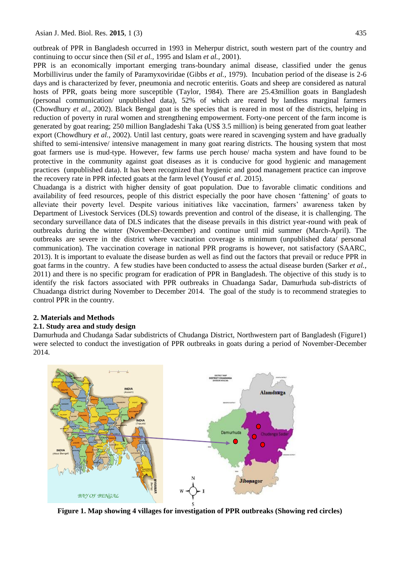outbreak of PPR in Bangladesh occurred in 1993 in Meherpur district, south western part of the country and continuing to occur since then (Sil *et al.,* 1995 and Islam *et al.,* 2001).

PPR is an economically important emerging trans-boundary animal disease, classified under the genus Morbillivirus under the family of Paramyxoviridae (Gibbs *et al.,* 1979). Incubation period of the disease is 2-6 days and is characterized by fever, pneumonia and necrotic enteritis. Goats and sheep are considered as natural hosts of PPR, goats being more susceptible (Taylor, 1984). There are 25.43million goats in Bangladesh (personal communication/ unpublished data), 52% of which are reared by landless marginal farmers (Chowdhury *et al*., 2002). Black Bengal goat is the species that is reared in most of the districts, helping in reduction of poverty in rural women and strengthening empowerment. Forty-one percent of the farm income is generated by goat rearing; 250 million Bangladeshi Taka (US\$ 3.5 million) is being generated from goat leather export (Chowdhury *et al.,* 2002). Until last century, goats were reared in scavenging system and have gradually shifted to semi-intensive/ intensive management in many goat rearing districts. The housing system that most goat farmers use is mud-type. However, few farms use perch house/ macha system and have found to be protective in the community against goat diseases as it is conducive for good hygienic and management practices (unpublished data). It has been recognized that hygienic and good management practice can improve the recovery rate in PPR infected goats at the farm level (Yousuf *et al.* 2015).

Chuadanga is a district with higher density of goat population. Due to favorable climatic conditions and availability of feed resources, people of this district especially the poor have chosen 'fattening' of goats to alleviate their poverty level. Despite various initiatives like vaccination, farmers' awareness taken by Department of Livestock Services (DLS) towards prevention and control of the disease, it is challenging. The secondary surveillance data of DLS indicates that the disease prevails in this district year-round with peak of outbreaks during the winter (November-December) and continue until mid summer (March-April). The outbreaks are severe in the district where vaccination coverage is minimum (unpublished data/ personal communication). The vaccination coverage in national PPR programs is however, not satisfactory (SAARC, 2013). It is important to evaluate the disease burden as well as find out the factors that prevail or reduce PPR in goat farms in the country. A few studies have been conducted to assess the actual disease burden (Sarker *et al.,* 2011) and there is no specific program for eradication of PPR in Bangladesh. The objective of this study is to identify the risk factors associated with PPR outbreaks in Chuadanga Sadar, Damurhuda sub-districts of Chuadanga district during November to December 2014. The goal of the study is to recommend strategies to control PPR in the country.

## **2. Materials and Methods**

## **2.1. Study area and study design**

Damurhuda and Chudanga Sadar subdistricts of Chudanga District, Northwestern part of Bangladesh (Figure1) were selected to conduct the investigation of PPR outbreaks in goats during a period of November-December 2014.



**Figure 1. Map showing 4 villages for investigation of PPR outbreaks (Showing red circles)**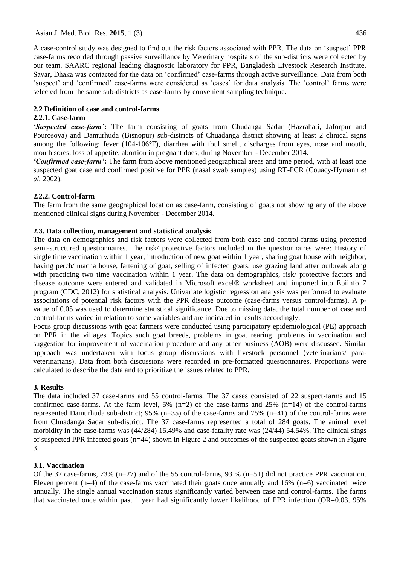A case-control study was designed to find out the risk factors associated with PPR. The data on 'suspect' PPR case-farms recorded through passive surveillance by Veterinary hospitals of the sub-districts were collected by our team. SAARC regional leading diagnostic laboratory for PPR, Bangladesh Livestock Research Institute, Savar, Dhaka was contacted for the data on 'confirmed' case-farms through active surveillance. Data from both 'suspect' and 'confirmed' case-farms were considered as 'cases' for data analysis. The 'control' farms were selected from the same sub-districts as case-farms by convenient sampling technique.

## **2.2 Definition of case and control-farms**

### **2.2.1. Case-farm**

*'Suspected case-farm'***:** The farm consisting of goats from Chudanga Sadar (Hazrahati, Jaforpur and Pourosova) and Damurhuda (Bisnopur) sub-districts of Chuadanga district showing at least 2 clinical signs among the following: fever (104-106°F), diarrhea with foul smell, discharges from eyes, nose and mouth, mouth sores, loss of appetite, abortion in pregnant does, during November - December 2014.

*'Confirmed case-farm'***:** The farm from above mentioned geographical areas and time period, with at least one suspected goat case and confirmed positive for PPR (nasal swab samples) using RT-PCR (Couacy-Hymann *et al.* 2002).

### **2.2.2. Control-farm**

The farm from the same geographical location as case-farm, consisting of goats not showing any of the above mentioned clinical signs during November - December 2014.

### **2.3. Data collection, management and statistical analysis**

The data on demographics and risk factors were collected from both case and control-farms using pretested semi-structured questionnaires. The risk/ protective factors included in the questionnaires were: History of single time vaccination within 1 year, introduction of new goat within 1 year, sharing goat house with neighbor, having perch/ macha house, fattening of goat, selling of infected goats, use grazing land after outbreak along with practicing two time vaccination within 1 year. The data on demographics, risk/ protective factors and disease outcome were entered and validated in Microsoft excel® worksheet and imported into Epiinfo 7 program (CDC, 2012) for statistical analysis. Univariate logistic regression analysis was performed to evaluate associations of potential risk factors with the PPR disease outcome (case-farms versus control-farms). A pvalue of 0.05 was used to determine statistical significance. Due to missing data, the total number of case and control-farms varied in relation to some variables and are indicated in results accordingly.

Focus group discussions with goat farmers were conducted using participatory epidemiological (PE) approach on PPR in the villages. Topics such goat breeds, problems in goat rearing, problems in vaccination and suggestion for improvement of vaccination procedure and any other business (AOB) were discussed. Similar approach was undertaken with focus group discussions with livestock personnel (veterinarians/ paraveterinarians). Data from both discussions were recorded in pre-formatted questionnaires. Proportions were calculated to describe the data and to prioritize the issues related to PPR.

## **3. Results**

The data included 37 case-farms and 55 control-farms. The 37 cases consisted of 22 suspect-farms and 15 confirmed case-farms. At the farm level,  $5\%$  (n=2) of the case-farms and  $25\%$  (n=14) of the control-farms represented Damurhuda sub-district; 95% (n=35) of the case-farms and 75% (n=41) of the control-farms were from Chuadanga Sadar sub-district. The 37 case-farms represented a total of 284 goats. The animal level morbidity in the case-farms was (44/284) 15.49% and case-fatality rate was (24/44) 54.54%. The clinical sings of suspected PPR infected goats (n=44) shown in Figure 2 and outcomes of the suspected goats shown in Figure 3.

## **3.1. Vaccination**

Of the 37 case-farms, 73% (n=27) and of the 55 control-farms, 93 % (n=51) did not practice PPR vaccination. Eleven percent  $(n=4)$  of the case-farms vaccinated their goats once annually and 16%  $(n=6)$  vaccinated twice annually. The single annual vaccination status significantly varied between case and control-farms. The farms that vaccinated once within past 1 year had significantly lower likelihood of PPR infection (OR=0.03, 95%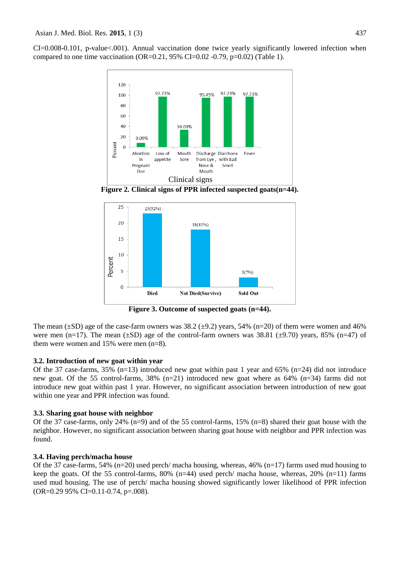CI=0.008-0.101, p-value<.001). Annual vaccination done twice yearly significantly lowered infection when compared to one time vaccination (OR=0.21, 95% CI=0.02 -0.79, p=0.02) (Table 1).



**Figure 2. Clinical signs of PPR infected suspected goats(n=44).**



**Figure 3. Outcome of suspected goats (n=44).**

The mean ( $\pm$ SD) age of the case-farm owners was 38.2 ( $\pm$ 9.2) years, 54% (n=20) of them were women and 46% were men (n=17). The mean ( $\pm$ SD) age of the control-farm owners was 38.81 ( $\pm$ 9.70) years, 85% (n=47) of them were women and 15% were men (n=8).

## **3.2. Introduction of new goat within year**

Of the 37 case-farms,  $35\%$  (n=13) introduced new goat within past 1 year and  $65\%$  (n=24) did not introduce new goat. Of the 55 control-farms, 38% (n=21) introduced new goat where as 64% (n=34) farms did not introduce new goat within past 1 year. However, no significant association between introduction of new goat within one year and PPR infection was found.

## **3.3. Sharing goat house with neighbor**

Of the 37 case-farms, only 24% (n=9) and of the 55 control-farms, 15% (n=8) shared their goat house with the neighbor. However, no significant association between sharing goat house with neighbor and PPR infection was found.

## **3.4. Having perch/macha house**

Of the 37 case-farms, 54% (n=20) used perch/ macha housing, whereas, 46% (n=17) farms used mud housing to keep the goats. Of the 55 control-farms, 80%  $(n=44)$  used perch/ macha house, whereas, 20%  $(n=11)$  farms used mud housing. The use of perch/ macha housing showed significantly lower likelihood of PPR infection (OR=0.29 95% CI=0.11-0.74, p=.008).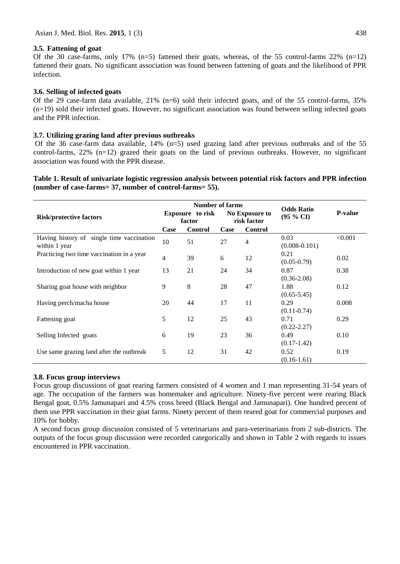### **3.5. Fattening of goat**

Of the 30 case-farms, only 17%  $(n=5)$  fattened their goats, whereas, of the 55 control-farms 22%  $(n=12)$ fattened their goats. No significant association was found between fattening of goats and the likelihood of PPR infection.

### **3.6. Selling of infected goats**

Of the 29 case-farm data available,  $21\%$  (n=6) sold their infected goats, and of the 55 control-farms, 35% (n=19) sold their infected goats. However, no significant association was found between selling infected goats and the PPR infection.

### **3.7. Utilizing grazing land after previous outbreaks**

Of the 36 case-farm data available, 14% (n=5) used grazing land after previous outbreaks and of the 55 control-farms, 22% (n=12) grazed their goats on the land of previous outbreaks. However, no significant association was found with the PPR disease.

**Table 1. Result of univariate logistic regression analysis between potential risk factors and PPR infection (number of case-farms= 37, number of control-farms= 55).**

|                                                            | <b>Number of farms</b> |                                   |      |                               | <b>Odds Ratio</b>         |                |
|------------------------------------------------------------|------------------------|-----------------------------------|------|-------------------------------|---------------------------|----------------|
| <b>Risk/protective factors</b>                             |                        | <b>Exposure</b> to risk<br>factor |      | No Exposure to<br>risk factor | $(95 \% CI)$              | <b>P-value</b> |
|                                                            | Case                   | <b>Control</b>                    | Case | <b>Control</b>                |                           |                |
| Having history of single time vaccination<br>within 1 year | 10                     | 51                                | 27   | $\overline{4}$                | 0.03<br>$(0.008 - 0.101)$ | < 0.001        |
| Practicing two time vaccination in a year                  | 4                      | 39                                | 6    | 12                            | 0.21<br>$(0.05 - 0.79)$   | 0.02           |
| Introduction of new goat within 1 year                     | 13                     | 21                                | 24   | 34                            | 0.87<br>$(0.36 - 2.08)$   | 0.38           |
| Sharing goat house with neighbor                           | 9                      | 8                                 | 28   | 47                            | 1.88<br>$(0.65 - 5.45)$   | 0.12           |
| Having perch/macha house                                   | 20                     | 44                                | 17   | 11                            | 0.29<br>$(0.11 - 0.74)$   | 0.008          |
| Fattening goat                                             | 5                      | 12                                | 25   | 43                            | 0.71<br>$(0.22 - 2.27)$   | 0.29           |
| Selling Infected goats                                     | 6                      | 19                                | 23   | 36                            | 0.49<br>$(0.17-1.42)$     | 0.10           |
| Use same grazing land after the outbreak                   | 5                      | 12                                | 31   | 42                            | 0.52<br>$(0.16-1.61)$     | 0.19           |

## **3.8. Focus group interviews**

Focus group discussions of goat rearing farmers consisted of 4 women and 1 man representing 31-54 years of age. The occupation of the farmers was homemaker and agriculture. Ninety-five percent were rearing Black Bengal goat, 0.5% Jamunapari and 4.5% cross breed (Black Bengal and Jamunapari). One hundred percent of them use PPR vaccination in their goat farms. Ninety percent of them reared goat for commercial purposes and 10% for hobby.

A second focus group discussion consisted of 5 veterinarians and para-veterinarians from 2 sub-districts. The outputs of the focus group discussion were recorded categorically and shown in Table 2 with regards to issues encountered in PPR vaccination.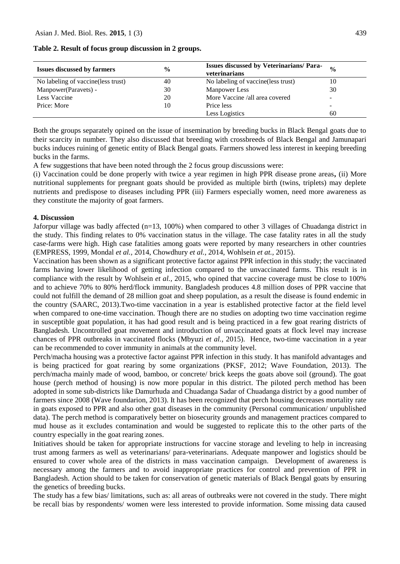| Table 2. Result of focus group discussion in 2 groups. |  |  |
|--------------------------------------------------------|--|--|
|--------------------------------------------------------|--|--|

| <b>Issues discussed by farmers</b>  | $\frac{0}{0}$ | Issues discussed by Veterinarians/ Para-<br><b>veterinarians</b> | $\frac{0}{0}$            |
|-------------------------------------|---------------|------------------------------------------------------------------|--------------------------|
| No labeling of vaccine (less trust) | 40            | No labeling of vaccine (less trust)                              | 10                       |
| Manpower(Paravets) -                | 30            | Manpower Less                                                    | 30                       |
| Less Vaccine                        | 20            | More Vaccine /all area covered                                   | $\overline{\phantom{0}}$ |
| Price: More                         | 10            | Price less                                                       | $\overline{\phantom{a}}$ |
|                                     |               | Less Logistics                                                   | 60                       |

Both the groups separately opined on the issue of insemination by breeding bucks in Black Bengal goats due to their scarcity in number. They also discussed that breeding with crossbreeds of Black Bengal and Jamunapari bucks induces ruining of genetic entity of Black Bengal goats. Farmers showed less interest in keeping breeding bucks in the farms.

A few suggestions that have been noted through the 2 focus group discussions were:

(i) Vaccination could be done properly with twice a year regimen in high PPR disease prone areas**,** (ii) More nutritional supplements for pregnant goats should be provided as multiple birth (twins, triplets) may deplete nutrients and predispose to diseases including PPR (iii) Farmers especially women, need more awareness as they constitute the majority of goat farmers.

#### **4. Discussion**

Jaforpur village was badly affected (n=13, 100%) when compared to other 3 villages of Chuadanga district in the study. This finding relates to 0% vaccination status in the village. The case fatality rates in all the study case-farms were high. High case fatalities among goats were reported by many researchers in other countries (EMPRESS, 1999, Mondal *et al.,* 2014, Chowdhury *et al.,* 2014, Wohlsein *et at.,* 2015).

Vaccination has been shown as a significant protective factor against PPR infection in this study; the vaccinated farms having lower likelihood of getting infection compared to the unvaccinated farms. This result is in compliance with the result by Wohlsein *et al.,* 2015, who opined that vaccine coverage must be close to 100% and to achieve 70% to 80% herd/flock immunity. Bangladesh produces 4.8 million doses of PPR vaccine that could not fulfill the demand of 28 million goat and sheep population, as a result the disease is found endemic in the country (SAARC, 2013).Two-time vaccination in a year is established protective factor at the field level when compared to one-time vaccination. Though there are no studies on adopting two time vaccination regime in susceptible goat population, it has had good result and is being practiced in a few goat rearing districts of Bangladesh. Uncontrolled goat movement and introduction of unvaccinated goats at flock level may increase chances of PPR outbreaks in vaccinated flocks (Mbyuzi *et al.,* 2015). Hence, two-time vaccination in a year can be recommended to cover immunity in animals at the community level.

Perch/macha housing was a protective factor against PPR infection in this study. It has manifold advantages and is being practiced for goat rearing by some organizations (PKSF, 2012; Wave Foundation, 2013). The perch/macha mainly made of wood, bamboo, or concrete/ brick keeps the goats above soil (ground). The goat house (perch method of housing) is now more popular in this district. The piloted perch method has been adopted in some sub-districts like Damurhuda and Chuadanga Sadar of Chuadanga district by a good number of farmers since 2008 (Wave foundarion, 2013). It has been recognized that perch housing decreases mortality rate in goats exposed to PPR and also other goat diseases in the community (Personal communication/ unpublished data). The perch method is comparatively better on biosecurity grounds and management practices compared to mud house as it excludes contamination and would be suggested to replicate this to the other parts of the country especially in the goat rearing zones.

Initiatives should be taken for appropriate instructions for vaccine storage and leveling to help in increasing trust among farmers as well as veterinarians/ para-veterinarians. Adequate manpower and logistics should be ensured to cover whole area of the districts in mass vaccination campaign. Development of awareness is necessary among the farmers and to avoid inappropriate practices for control and prevention of PPR in Bangladesh. Action should to be taken for conservation of genetic materials of Black Bengal goats by ensuring the genetics of breeding bucks.

The study has a few bias/ limitations, such as: all areas of outbreaks were not covered in the study. There might be recall bias by respondents/ women were less interested to provide information. Some missing data caused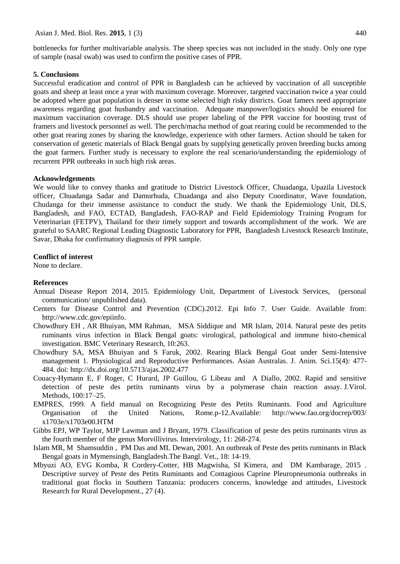bottlenecks for further multivariable analysis. The sheep species was not included in the study. Only one type of sample (nasal swab) was used to confirm the positive cases of PPR.

### **5. Conclusions**

Successful eradication and control of PPR in Bangladesh can be achieved by vaccination of all susceptible goats and sheep at least once a year with maximum coverage. Moreover, targeted vaccination twice a year could be adopted where goat population is denser in some selected high risky districts. Goat famers need appropriate awareness regarding goat husbandry and vaccination. Adequate manpower/logistics should be ensured for maximum vaccination coverage. DLS should use proper labeling of the PPR vaccine for boosting trust of framers and livestock personnel as well. The perch/macha method of goat rearing could be recommended to the other goat rearing zones by sharing the knowledge, experience with other farmers. Action should be taken for conservation of genetic materials of Black Bengal goats by supplying genetically proven breeding bucks among the goat farmers. Further study is necessary to explore the real scenario/understanding the epidemiology of recurrent PPR outbreaks in such high risk areas.

#### **Acknowledgements**

We would like to convey thanks and gratitude to District Livestock Officer, Chuadanga, Upazila Livestock officer, Chuadanga Sadar and Damurhuda, Chuadanga and also Deputy Coordinator, Wave foundation, Chudanga for their immense assistance to conduct the study. We thank the Epidemiology Unit, DLS, Bangladesh, and FAO, ECTAD, Bangladesh, FAO-RAP and Field Epidemiology Training Program for Veterinarian (FETPV), Thailand for their timely support and towards accomplishment of the work. We are grateful to SAARC Regional Leading Diagnostic Laboratory for PPR, Bangladesh Livestock Research Institute, Savar, Dhaka for confirmatory diagnosis of PPR sample.

### **Conflict of interest**

None to declare.

### **References**

- Annual Disease Report 2014, 2015. Epidemiology Unit, Department of Livestock Services, (personal communication/ unpublished data).
- Centers for Disease Control and Prevention (CDC).2012. Epi Info 7. User Guide. Available from: [http://www.cdc.gov/epiinfo.](http://www.cdc.gov/epiinfo)
- Chowdhury EH , AR Bhuiyan, MM Rahman, MSA Siddique and MR Islam, 2014. Natural peste des petits ruminants virus infection in Black Bengal goats: virological, pathological and immune histo-chemical investigation. BMC Veterinary Research, 10:263.
- Chowdhury SA, MSA Bhuiyan and S Faruk, 2002. Rearing Black Bengal Goat under Semi-Intensive management 1. Physiological and Reproductive Performances. [Asian Australas. J. Anim. Sci.](http://www.ajas.info/articles/archive.php)15(4): 477- 484. doi: <http://dx.doi.org/10.5713/ajas.2002.477>
- Couacy-Hymann E, F Roger, C Hurard, JP Guillou, G Libeau and A Diallo, 2002. Rapid and sensitive detection of peste des petits ruminants virus by a polymerase chain reaction assay. J.Virol. Methods, 100:17–25.
- EMPRES, 1999. A field manual on Recognizing Peste des Petits Ruminants. Food and Agriculture Organisation of the United Nations, Rome.p-12.Available: [http://www.fao.org/docrep/003/](http://www.fao.org/docrep/003/x1703e/x1703e00.HTM) [x1703e/x1703e00.HTM](http://www.fao.org/docrep/003/x1703e/x1703e00.HTM)
- Gibbs EPJ, WP Taylor, MJP Lawman and J Bryant, 1979. Classification of peste des petits ruminants virus as the fourth member of the genus Morvillivirus. Intervirology, 11: 268-274.
- Islam MR, M Shamsuddin , PM Das and ML Dewan, 2001. An outbreak of Peste des petits ruminants in Black Bengal goats in Mymensingh, Bangladesh.The Bangl. Vet., 18: 14-19.
- Mbyuzi AO, EVG Komba, R Cordery-Cotter, HB Magwisha, SI Kimera, and DM Kambarage, 2015 . Descriptive survey of Peste des Petits Ruminants and Contagious Caprine Pleuropneumonia outbreaks in traditional goat flocks in Southern Tanzania: producers concerns, knowledge and attitudes, [Livestock](http://lrrd.org/lrrd27/4/cont2704.htm)  [Research for Rural Development., 27 \(4\).](http://lrrd.org/lrrd27/4/cont2704.htm)